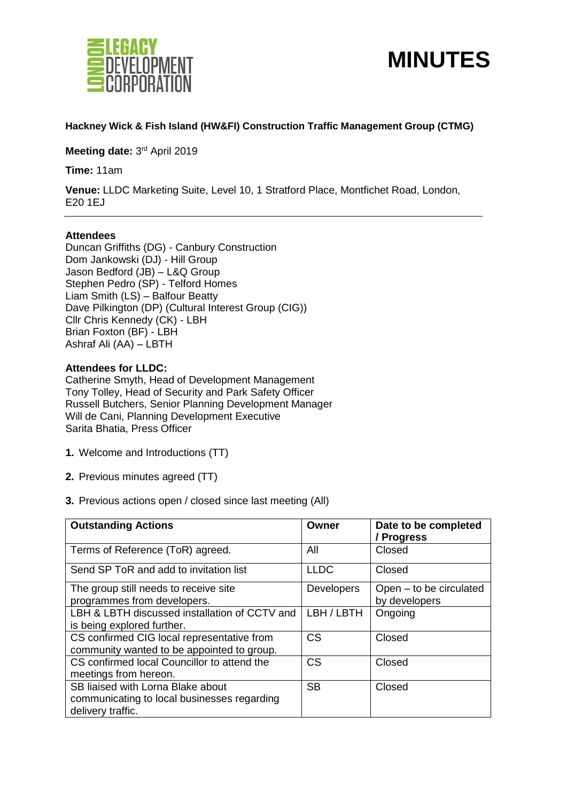



## **Hackney Wick & Fish Island (HW&FI) Construction Traffic Management Group (CTMG)**

Meeting date: 3<sup>rd</sup> April 2019

**Time:** 11am

**Venue:** LLDC Marketing Suite, Level 10, 1 Stratford Place, Montfichet Road, London, E20 1EJ

#### **Attendees**

Duncan Griffiths (DG) - Canbury Construction Dom Jankowski (DJ) - Hill Group Jason Bedford (JB) – L&Q Group Stephen Pedro (SP) - Telford Homes Liam Smith (LS) – Balfour Beatty Dave Pilkington (DP) (Cultural Interest Group (CIG)) Cllr Chris Kennedy (CK) - LBH Brian Foxton (BF) - LBH Ashraf Ali (AA) – LBTH

**Attendees for LLDC:** 

Catherine Smyth, Head of Development Management Tony Tolley, Head of Security and Park Safety Officer Russell Butchers, Senior Planning Development Manager Will de Cani, Planning Development Executive Sarita Bhatia, Press Officer

- **1.** Welcome and Introductions (TT)
- **2.** Previous minutes agreed (TT)
- **3.** Previous actions open / closed since last meeting (All)

| <b>Outstanding Actions</b>                    | Owner             | Date to be completed<br>/ Progress |
|-----------------------------------------------|-------------------|------------------------------------|
| Terms of Reference (ToR) agreed.              | All               | Closed                             |
| Send SP ToR and add to invitation list        | <b>LLDC</b>       | Closed                             |
| The group still needs to receive site         | <b>Developers</b> | Open - to be circulated            |
| programmes from developers.                   |                   | by developers                      |
| LBH & LBTH discussed installation of CCTV and | LBH / LBTH        | Ongoing                            |
| is being explored further.                    |                   |                                    |
| CS confirmed CIG local representative from    | <b>CS</b>         | Closed                             |
| community wanted to be appointed to group.    |                   |                                    |
| CS confirmed local Councillor to attend the   | <b>CS</b>         | Closed                             |
| meetings from hereon.                         |                   |                                    |
| SB liaised with Lorna Blake about             | <b>SB</b>         | Closed                             |
| communicating to local businesses regarding   |                   |                                    |
| delivery traffic.                             |                   |                                    |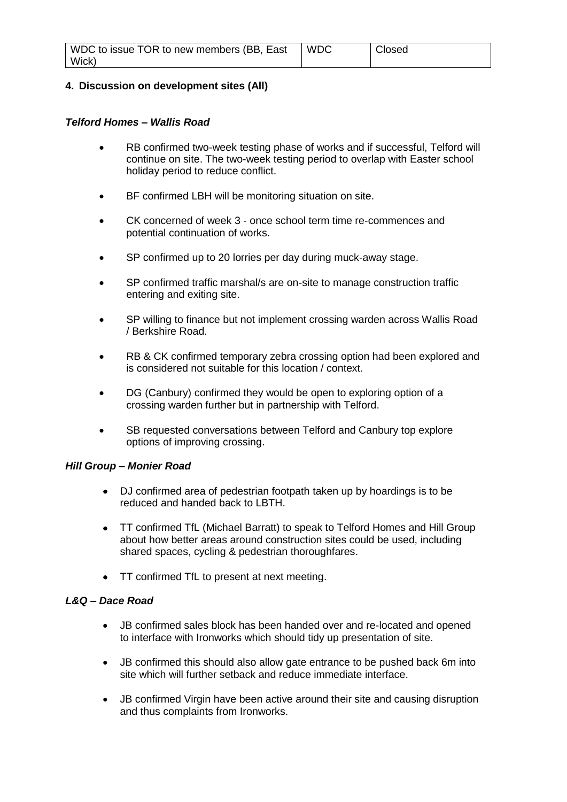## **4. Discussion on development sites (All)**

#### *Telford Homes – Wallis Road*

- RB confirmed two-week testing phase of works and if successful, Telford will continue on site. The two-week testing period to overlap with Easter school holiday period to reduce conflict.
- BF confirmed LBH will be monitoring situation on site.
- CK concerned of week 3 once school term time re-commences and potential continuation of works.
- SP confirmed up to 20 lorries per day during muck-away stage.
- SP confirmed traffic marshal/s are on-site to manage construction traffic entering and exiting site.
- SP willing to finance but not implement crossing warden across Wallis Road / Berkshire Road.
- RB & CK confirmed temporary zebra crossing option had been explored and is considered not suitable for this location / context.
- DG (Canbury) confirmed they would be open to exploring option of a crossing warden further but in partnership with Telford.
- SB requested conversations between Telford and Canbury top explore options of improving crossing.

## *Hill Group – Monier Road*

- DJ confirmed area of pedestrian footpath taken up by hoardings is to be reduced and handed back to LBTH.
- TT confirmed TfL (Michael Barratt) to speak to Telford Homes and Hill Group about how better areas around construction sites could be used, including shared spaces, cycling & pedestrian thoroughfares.
- TT confirmed TfL to present at next meeting.

## *L&Q – Dace Road*

- JB confirmed sales block has been handed over and re-located and opened to interface with Ironworks which should tidy up presentation of site.
- JB confirmed this should also allow gate entrance to be pushed back 6m into site which will further setback and reduce immediate interface.
- JB confirmed Virgin have been active around their site and causing disruption and thus complaints from Ironworks.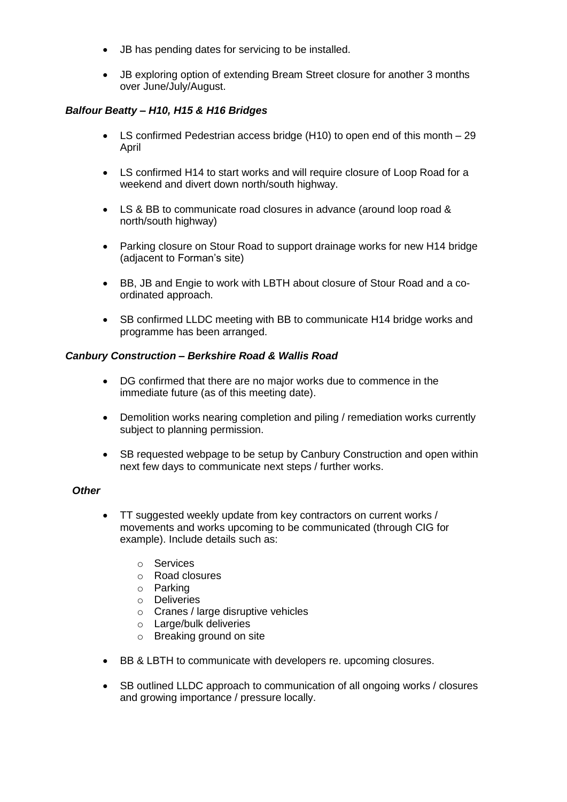- JB has pending dates for servicing to be installed.
- JB exploring option of extending Bream Street closure for another 3 months over June/July/August.

# *Balfour Beatty – H10, H15 & H16 Bridges*

- LS confirmed Pedestrian access bridge (H10) to open end of this month 29 April
- LS confirmed H14 to start works and will require closure of Loop Road for a weekend and divert down north/south highway.
- LS & BB to communicate road closures in advance (around loop road & north/south highway)
- Parking closure on Stour Road to support drainage works for new H14 bridge (adjacent to Forman's site)
- BB, JB and Engie to work with LBTH about closure of Stour Road and a coordinated approach.
- SB confirmed LLDC meeting with BB to communicate H14 bridge works and programme has been arranged.

#### *Canbury Construction – Berkshire Road & Wallis Road*

- DG confirmed that there are no major works due to commence in the immediate future (as of this meeting date).
- Demolition works nearing completion and piling / remediation works currently subject to planning permission.
- SB requested webpage to be setup by Canbury Construction and open within next few days to communicate next steps / further works.

## *Other*

- TT suggested weekly update from key contractors on current works / movements and works upcoming to be communicated (through CIG for example). Include details such as:
	- o Services
	- o Road closures
	- o Parking
	- o Deliveries
	- o Cranes / large disruptive vehicles
	- o Large/bulk deliveries
	- o Breaking ground on site
- BB & LBTH to communicate with developers re. upcoming closures.
- SB outlined LLDC approach to communication of all ongoing works / closures and growing importance / pressure locally.